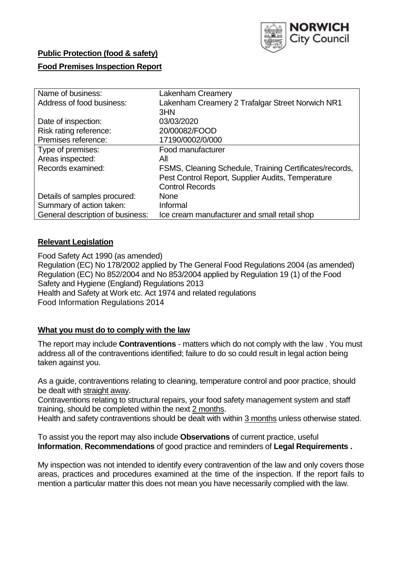

# **Public Protection (food & safety)**

## **Food Premises Inspection Report**

| Name of business:                | <b>Lakenham Creamery</b>                                |  |  |  |  |
|----------------------------------|---------------------------------------------------------|--|--|--|--|
| Address of food business:        | Lakenham Creamery 2 Trafalgar Street Norwich NR1        |  |  |  |  |
|                                  | 3HN                                                     |  |  |  |  |
| Date of inspection:              | 03/03/2020                                              |  |  |  |  |
| Risk rating reference:           | 20/00082/FOOD                                           |  |  |  |  |
| Premises reference:              | 17190/0002/0/000                                        |  |  |  |  |
| Type of premises:                | Food manufacturer                                       |  |  |  |  |
| Areas inspected:                 | All                                                     |  |  |  |  |
| Records examined:                | FSMS, Cleaning Schedule, Training Certificates/records, |  |  |  |  |
|                                  | Pest Control Report, Supplier Audits, Temperature       |  |  |  |  |
|                                  | <b>Control Records</b>                                  |  |  |  |  |
| Details of samples procured:     | None                                                    |  |  |  |  |
| Summary of action taken:         | Informal                                                |  |  |  |  |
| General description of business: | Ice cream manufacturer and small retail shop            |  |  |  |  |

### **Relevant Legislation**

Food Safety Act 1990 (as amended) Regulation (EC) No 178/2002 applied by The General Food Regulations 2004 (as amended) Regulation (EC) No 852/2004 and No 853/2004 applied by Regulation 19 (1) of the Food Safety and Hygiene (England) Regulations 2013 Health and Safety at Work etc. Act 1974 and related regulations Food Information Regulations 2014

## **What you must do to comply with the law**

The report may include **Contraventions** - matters which do not comply with the law . You must address all of the contraventions identified; failure to do so could result in legal action being taken against you.

As a guide, contraventions relating to cleaning, temperature control and poor practice, should be dealt with straight away.

Contraventions relating to structural repairs, your food safety management system and staff training, should be completed within the next 2 months.

Health and safety contraventions should be dealt with within 3 months unless otherwise stated.

To assist you the report may also include **Observations** of current practice, useful **Information**, **Recommendations** of good practice and reminders of **Legal Requirements .**

My inspection was not intended to identify every contravention of the law and only covers those areas, practices and procedures examined at the time of the inspection. If the report fails to mention a particular matter this does not mean you have necessarily complied with the law.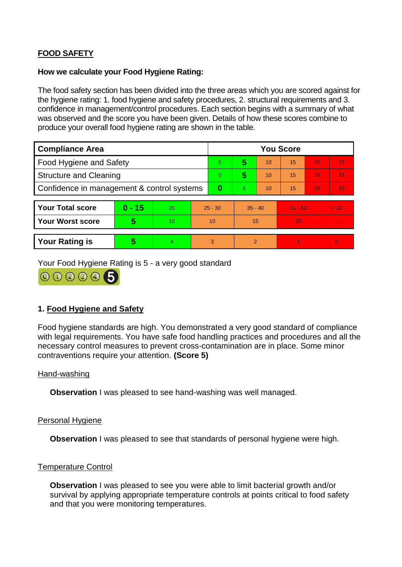# **FOOD SAFETY**

#### **How we calculate your Food Hygiene Rating:**

The food safety section has been divided into the three areas which you are scored against for the hygiene rating: 1. food hygiene and safety procedures, 2. structural requirements and 3. confidence in management/control procedures. Each section begins with a summary of what was observed and the score you have been given. Details of how these scores combine to produce your overall food hygiene rating are shown in the table.

| <b>Compliance Area</b>                     |          |                  |           | <b>You Score</b> |                |    |           |    |                |  |  |
|--------------------------------------------|----------|------------------|-----------|------------------|----------------|----|-----------|----|----------------|--|--|
| Food Hygiene and Safety                    |          |                  | 0         | 5                | 10             | 15 | 20        | 25 |                |  |  |
| <b>Structure and Cleaning</b>              |          |                  | $\Omega$  | 5                | 10             | 15 | 20        | 25 |                |  |  |
| Confidence in management & control systems |          |                  | $\bf{0}$  | 5                | 10             | 15 | 20        | 30 |                |  |  |
|                                            |          |                  |           |                  |                |    |           |    |                |  |  |
| <b>Your Total score</b>                    | $0 - 15$ | 20               | $25 - 30$ |                  | $35 - 40$      |    | $45 - 50$ |    | > 50           |  |  |
| <b>Your Worst score</b>                    | 5        | 10 <sup>10</sup> | 10        |                  | 15             |    | 20        |    | $\blacksquare$ |  |  |
|                                            |          |                  |           |                  |                |    |           |    |                |  |  |
| <b>Your Rating is</b>                      | 5        | $\overline{4}$   | 3         |                  | $\overline{2}$ |    |           |    | $\overline{0}$ |  |  |

Your Food Hygiene Rating is 5 - a very good standard



# **1. Food Hygiene and Safety**

Food hygiene standards are high. You demonstrated a very good standard of compliance with legal requirements. You have safe food handling practices and procedures and all the necessary control measures to prevent cross-contamination are in place. Some minor contraventions require your attention. **(Score 5)**

### Hand-washing

**Observation** I was pleased to see hand-washing was well managed.

### Personal Hygiene

**Observation** I was pleased to see that standards of personal hygiene were high.

#### Temperature Control

**Observation** I was pleased to see you were able to limit bacterial growth and/or survival by applying appropriate temperature controls at points critical to food safety and that you were monitoring temperatures.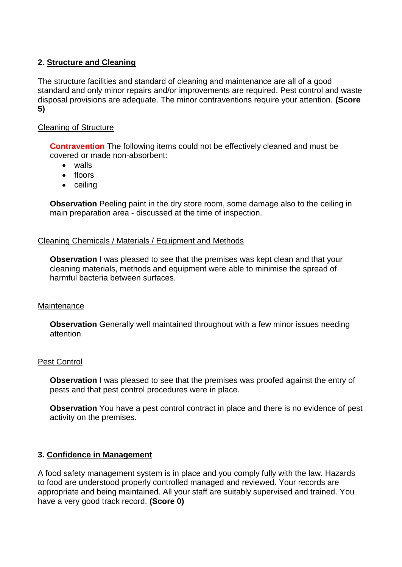## **2. Structure and Cleaning**

The structure facilities and standard of cleaning and maintenance are all of a good standard and only minor repairs and/or improvements are required. Pest control and waste disposal provisions are adequate. The minor contraventions require your attention. **(Score 5)**

### Cleaning of Structure

**Contravention** The following items could not be effectively cleaned and must be covered or made non-absorbent:

- walls
- floors
- ceiling

**Observation** Peeling paint in the dry store room, some damage also to the ceiling in main preparation area - discussed at the time of inspection.

### Cleaning Chemicals / Materials / Equipment and Methods

**Observation** I was pleased to see that the premises was kept clean and that your cleaning materials, methods and equipment were able to minimise the spread of harmful bacteria between surfaces.

### **Maintenance**

**Observation** Generally well maintained throughout with a few minor issues needing attention

### Pest Control

**Observation** I was pleased to see that the premises was proofed against the entry of pests and that pest control procedures were in place.

**Observation** You have a pest control contract in place and there is no evidence of pest activity on the premises.

### **3. Confidence in Management**

A food safety management system is in place and you comply fully with the law. Hazards to food are understood properly controlled managed and reviewed. Your records are appropriate and being maintained. All your staff are suitably supervised and trained. You have a very good track record. **(Score 0)**